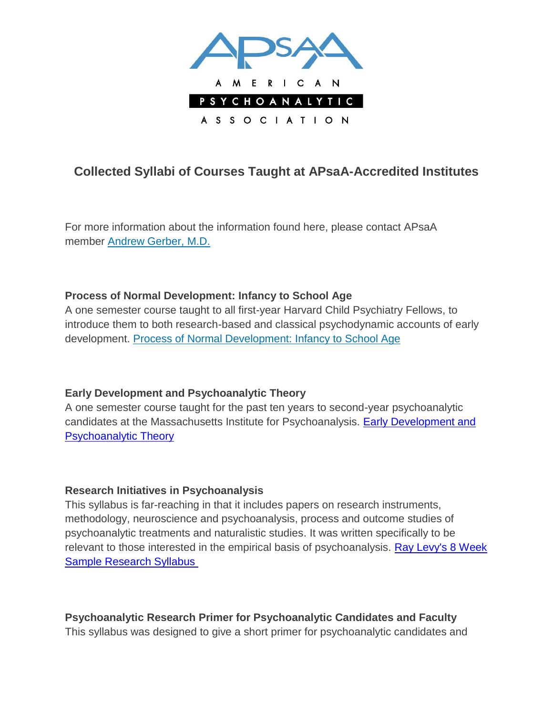

# **Collected Syllabi of Courses Taught at APsaA-Accredited Institutes**

For more information about the information found here, please contact APsaA member [Andrew Gerber, M.D.](mailto:agerber@aya.yale.edu)

#### **Process of Normal Development: Infancy to School Age**

A one semester course taught to all first-year Harvard Child Psychiatry Fellows, to introduce them to both research-based and classical psychodynamic accounts of early development. [Process of Normal Development: Infancy to School Age](http://www.apsa.org/sites/default/files/LyonsRuth1.doc)

## **Early Development and Psychoanalytic Theory**

A one semester course taught for the past ten years to second-year psychoanalytic candidates at the Massachusetts Institute for Psychoanalysis. [Early Development and](http://www.apsa.org/sites/default/files/LyonsRuth2.doc)  [Psychoanalytic Theory](http://www.apsa.org/sites/default/files/LyonsRuth2.doc)

#### **Research Initiatives in Psychoanalysis**

This syllabus is far-reaching in that it includes papers on research instruments, methodology, neuroscience and psychoanalysis, process and outcome studies of psychoanalytic treatments and naturalistic studies. It was written specifically to be relevant to those interested in the empirical basis of psychoanalysis. [Ray Levy's 8 Week](http://www.apsa.org/sites/default/files/RayLevyEightWeekSampleResearchSyllabus.doc)  [Sample Research Syllabus](http://www.apsa.org/sites/default/files/RayLevyEightWeekSampleResearchSyllabus.doc)

**Psychoanalytic Research Primer for Psychoanalytic Candidates and Faculty** This syllabus was designed to give a short primer for psychoanalytic candidates and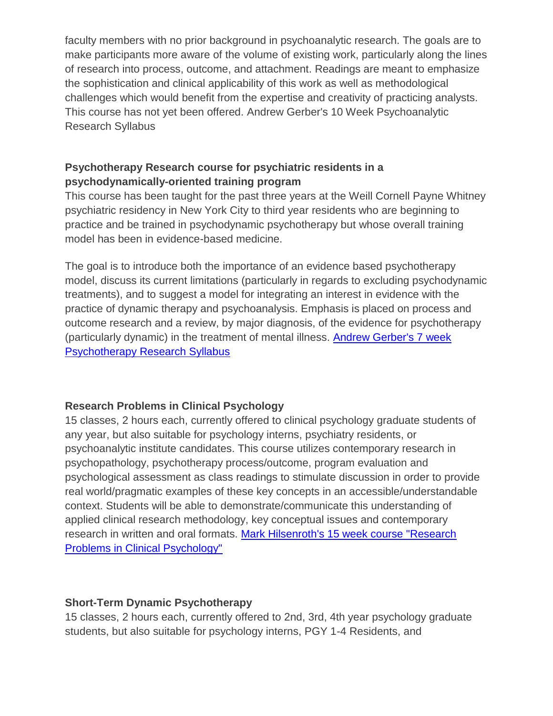faculty members with no prior background in psychoanalytic research. The goals are to make participants more aware of the volume of existing work, particularly along the lines of research into process, outcome, and attachment. Readings are meant to emphasize the sophistication and clinical applicability of this work as well as methodological challenges which would benefit from the expertise and creativity of practicing analysts. This course has not yet been offered. Andrew Gerber's 10 Week Psychoanalytic Research Syllabus

# **Psychotherapy Research course for psychiatric residents in a psychodynamically-oriented training program**

This course has been taught for the past three years at the Weill Cornell Payne Whitney psychiatric residency in New York City to third year residents who are beginning to practice and be trained in psychodynamic psychotherapy but whose overall training model has been in evidence-based medicine.

The goal is to introduce both the importance of an evidence based psychotherapy model, discuss its current limitations (particularly in regards to excluding psychodynamic treatments), and to suggest a model for integrating an interest in evidence with the practice of dynamic therapy and psychoanalysis. Emphasis is placed on process and outcome research and a review, by major diagnosis, of the evidence for psychotherapy (particularly dynamic) in the treatment of mental illness. [Andrew Gerber's 7 week](http://www.apsa.org/sites/default/files/AndrewGerber7WeekPsychotherapyResearchSyllabus.doc)  [Psychotherapy Research Syllabus](http://www.apsa.org/sites/default/files/AndrewGerber7WeekPsychotherapyResearchSyllabus.doc)

## **Research Problems in Clinical Psychology**

15 classes, 2 hours each, currently offered to clinical psychology graduate students of any year, but also suitable for psychology interns, psychiatry residents, or psychoanalytic institute candidates. This course utilizes contemporary research in psychopathology, psychotherapy process/outcome, program evaluation and psychological assessment as class readings to stimulate discussion in order to provide real world/pragmatic examples of these key concepts in an accessible/understandable context. Students will be able to demonstrate/communicate this understanding of applied clinical research methodology, key conceptual issues and contemporary research in written and oral formats. [Mark Hilsenroth's 15 week course "Research](http://www.apsa.org/sites/default/files/HilResProbCLinPsychSyllabi08.doc)  [Problems in Clinical Psychology"](http://www.apsa.org/sites/default/files/HilResProbCLinPsychSyllabi08.doc)

## **Short-Term Dynamic Psychotherapy**

15 classes, 2 hours each, currently offered to 2nd, 3rd, 4th year psychology graduate students, but also suitable for psychology interns, PGY 1-4 Residents, and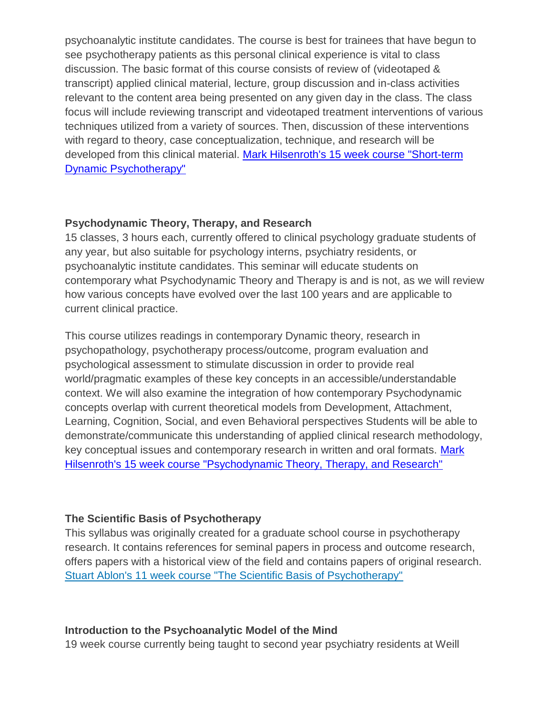psychoanalytic institute candidates. The course is best for trainees that have begun to see psychotherapy patients as this personal clinical experience is vital to class discussion. The basic format of this course consists of review of (videotaped & transcript) applied clinical material, lecture, group discussion and in-class activities relevant to the content area being presented on any given day in the class. The class focus will include reviewing transcript and videotaped treatment interventions of various techniques utilized from a variety of sources. Then, discussion of these interventions with regard to theory, case conceptualization, technique, and research will be developed from this clinical material. [Mark Hilsenroth's 15 week course "Short-term](http://www.apsa.org/sites/default/files/Mark%20Hilsenroth15WkcourseShortTermDynamicPsychotherapy.doc)  [Dynamic Psychotherapy"](http://www.apsa.org/sites/default/files/Mark%20Hilsenroth15WkcourseShortTermDynamicPsychotherapy.doc)

#### **Psychodynamic Theory, Therapy, and Research**

15 classes, 3 hours each, currently offered to clinical psychology graduate students of any year, but also suitable for psychology interns, psychiatry residents, or psychoanalytic institute candidates. This seminar will educate students on contemporary what Psychodynamic Theory and Therapy is and is not, as we will review how various concepts have evolved over the last 100 years and are applicable to current clinical practice.

This course utilizes readings in contemporary Dynamic theory, research in psychopathology, psychotherapy process/outcome, program evaluation and psychological assessment to stimulate discussion in order to provide real world/pragmatic examples of these key concepts in an accessible/understandable context. We will also examine the integration of how contemporary Psychodynamic concepts overlap with current theoretical models from Development, Attachment, Learning, Cognition, Social, and even Behavioral perspectives Students will be able to demonstrate/communicate this understanding of applied clinical research methodology, key conceptual issues and contemporary research in written and oral formats. [Mark](http://www.apsa.org/sites/default/files/MarkHilsenroth15WkCourseDynamicTheoryTherapyResearch.doc)  [Hilsenroth's 15 week course "Psychodynamic Theory, Therapy, and Research"](http://www.apsa.org/sites/default/files/MarkHilsenroth15WkCourseDynamicTheoryTherapyResearch.doc)

#### **The Scientific Basis of Psychotherapy**

This syllabus was originally created for a graduate school course in psychotherapy research. It contains references for seminal papers in process and outcome research, offers papers with a historical view of the field and contains papers of original research. [Stuart Ablon's 11 week course "The Scientific Basis of Psychotherapy"](http://www.apsa.org/sites/default/files/StuartAblon11WkCourseScientific%20Basis%20of%20Psychotherapy.doc)

#### **Introduction to the Psychoanalytic Model of the Mind**

19 week course currently being taught to second year psychiatry residents at Weill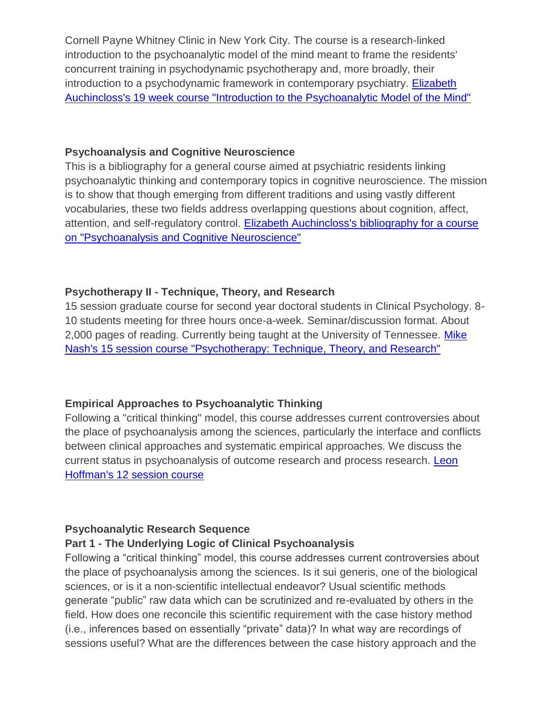Cornell Payne Whitney Clinic in New York City. The course is a research-linked introduction to the psychoanalytic model of the mind meant to frame the residents' concurrent training in psychodynamic psychotherapy and, more broadly, their introduction to a psychodynamic framework in contemporary psychiatry. [Elizabeth](http://www.apsa.org/sites/default/files/ElizAuchincloss19WkCourseIntroductiotoPsychoanlayticModeloftheMind.doc)  [Auchincloss's 19 week course "Introduction to the Psychoanalytic Model of the Mind"](http://www.apsa.org/sites/default/files/ElizAuchincloss19WkCourseIntroductiotoPsychoanlayticModeloftheMind.doc)

#### **Psychoanalysis and Cognitive Neuroscience**

This is a bibliography for a general course aimed at psychiatric residents linking psychoanalytic thinking and contemporary topics in cognitive neuroscience. The mission is to show that though emerging from different traditions and using vastly different vocabularies, these two fields address overlapping questions about cognition, affect, attention, and self-regulatory control. Elizabeth Auchincloss's bibliography for a course [on "Psychoanalysis and Cognitive Neuroscience"](http://www.apsa.org/sites/default/files/ElizAuchinclossbibliographyforcourseonPsaandCogNeuroscience.doc)

## **Psychotherapy II - Technique, Theory, and Research**

15 session graduate course for second year doctoral students in Clinical Psychology. 8- 10 students meeting for three hours once-a-week. Seminar/discussion format. About 2,000 pages of reading. Currently being taught at the University of Tennessee. [Mike](http://www.apsa.org/sites/default/files/MikeNash15sessioncoursePsychotherapyTechniqueTheoryResearch.doc)  [Nash's 15 session course "Psychotherapy: Technique, Theory, and Research"](http://www.apsa.org/sites/default/files/MikeNash15sessioncoursePsychotherapyTechniqueTheoryResearch.doc)

## **Empirical Approaches to Psychoanalytic Thinking**

Following a "critical thinking" model, this course addresses current controversies about the place of psychoanalysis among the sciences, particularly the interface and conflicts between clinical approaches and systematic empirical approaches. We discuss the current status in psychoanalysis of outcome research and process research. Leon Hoffman's [12 session course](http://www.apsa.org/sites/default/files/NYPSIEmpirical20072008Annotatedbiblio.pdf)

## **Psychoanalytic Research Sequence**

#### **Part 1 - The Underlying Logic of Clinical Psychoanalysis**

Following a "critical thinking" model, this course addresses current controversies about the place of psychoanalysis among the sciences. Is it sui generis, one of the biological sciences, or is it a non-scientific intellectual endeavor? Usual scientific methods generate "public" raw data which can be scrutinized and re-evaluated by others in the field. How does one reconcile this scientific requirement with the case history method (i.e., inferences based on essentially "private" data)? In what way are recordings of sessions useful? What are the differences between the case history approach and the